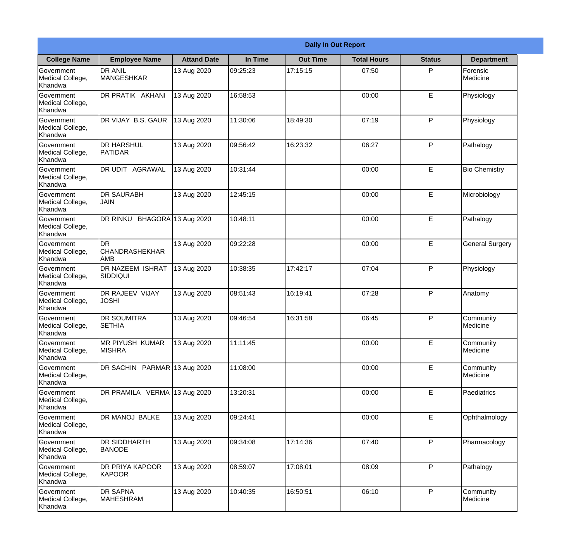|                                                  | <b>Daily In Out Report</b>                 |                    |          |                 |                    |               |                        |  |  |
|--------------------------------------------------|--------------------------------------------|--------------------|----------|-----------------|--------------------|---------------|------------------------|--|--|
| <b>College Name</b>                              | <b>Employee Name</b>                       | <b>Attand Date</b> | In Time  | <b>Out Time</b> | <b>Total Hours</b> | <b>Status</b> | <b>Department</b>      |  |  |
| Government<br>Medical College,<br>Khandwa        | <b>DR ANIL</b><br><b>MANGESHKAR</b>        | 13 Aug 2020        | 09:25:23 | 17:15:15        | 07:50              | P             | Forensic<br>Medicine   |  |  |
| Government<br>Medical College,<br>Khandwa        | DR PRATIK AKHANI                           | 13 Aug 2020        | 16:58:53 |                 | 00:00              | E             | Physiology             |  |  |
| <b>Government</b><br>Medical College,<br>Khandwa | DR VIJAY B.S. GAUR                         | 13 Aug 2020        | 11:30:06 | 18:49:30        | 07:19              | P             | Physiology             |  |  |
| <b>Government</b><br>Medical College,<br>Khandwa | <b>DR HARSHUL</b><br>PATIDAR               | 13 Aug 2020        | 09:56:42 | 16:23:32        | 06:27              | P             | Pathalogy              |  |  |
| Government<br>Medical College,<br>Khandwa        | <b>DR UDIT AGRAWAL</b>                     | 13 Aug 2020        | 10:31:44 |                 | 00:00              | E             | <b>Bio Chemistry</b>   |  |  |
| Government<br>Medical College,<br>Khandwa        | <b>DR SAURABH</b><br><b>JAIN</b>           | 13 Aug 2020        | 12:45:15 |                 | 00:00              | E             | Microbiology           |  |  |
| <b>Government</b><br>Medical College,<br>Khandwa | DR RINKU BHAGORA 13 Aug 2020               |                    | 10:48:11 |                 | 00:00              | E             | Pathalogy              |  |  |
| <b>Government</b><br>Medical College,<br>Khandwa | Idr<br><b>CHANDRASHEKHAR</b><br><b>AMB</b> | 13 Aug 2020        | 09:22:28 |                 | 00:00              | E             | <b>General Surgery</b> |  |  |
| Government<br>Medical College,<br>Khandwa        | <b>DR NAZEEM ISHRAT</b><br> SIDDIQUI       | 13 Aug 2020        | 10:38:35 | 17:42:17        | 07:04              | P             | Physiology             |  |  |
| Government<br>Medical College,<br>Khandwa        | <b>DR RAJEEV VIJAY</b><br><b>JOSHI</b>     | 13 Aug 2020        | 08:51:43 | 16:19:41        | 07:28              | P             | Anatomy                |  |  |
| Government<br>Medical College,<br>Khandwa        | <b>DR SOUMITRA</b><br><b>SETHIA</b>        | 13 Aug 2020        | 09:46:54 | 16:31:58        | 06:45              | P             | Community<br>Medicine  |  |  |
| Government<br>Medical College,<br>Khandwa        | MR PIYUSH KUMAR<br><b>MISHRA</b>           | 13 Aug 2020        | 11:11:45 |                 | 00:00              | E             | Community<br>Medicine  |  |  |
| Government<br>Medical College,<br>Khandwa        | DR SACHIN PARMAR 13 Aug 2020               |                    | 11:08:00 |                 | 00:00              | E             | Community<br>Medicine  |  |  |
| Government<br>Medical College,<br>Khandwa        | DR PRAMILA VERMA 13 Aug 2020               |                    | 13:20:31 |                 | 00:00              | $\mathsf E$   | Paediatrics            |  |  |
| Government<br>Medical College,<br>Khandwa        | DR MANOJ BALKE                             | 13 Aug 2020        | 09:24:41 |                 | 00:00              | E             | Ophthalmology          |  |  |
| Government<br>Medical College,<br>Khandwa        | DR SIDDHARTH<br><b>BANODE</b>              | 13 Aug 2020        | 09:34:08 | 17:14:36        | 07:40              | P             | Pharmacology           |  |  |
| Government<br>Medical College,<br>Khandwa        | <b>DR PRIYA KAPOOR</b><br>KAPOOR           | 13 Aug 2020        | 08:59:07 | 17:08:01        | 08:09              | P             | Pathalogy              |  |  |
| Government<br>Medical College,<br>Khandwa        | <b>DR SAPNA</b><br>MAHESHRAM               | 13 Aug 2020        | 10:40:35 | 16:50:51        | 06:10              | P             | Community<br>Medicine  |  |  |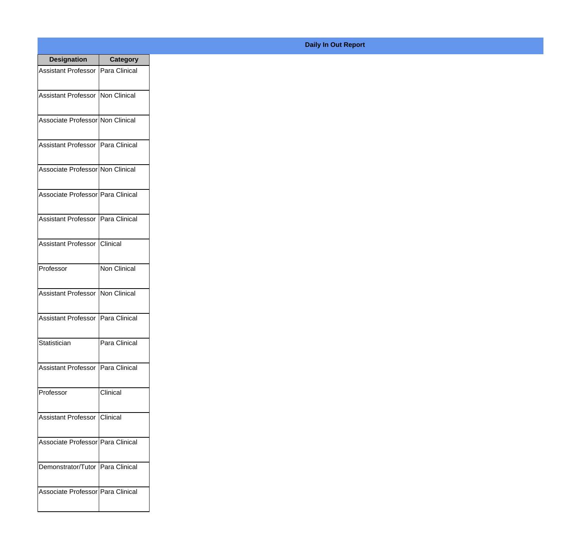| <b>Designation</b>                  | <b>Category</b>     |
|-------------------------------------|---------------------|
| Assistant Professor   Para Clinical |                     |
| Assistant Professor   Non Clinical  |                     |
| Associate Professor Non Clinical    |                     |
| <b>Assistant Professor</b>          | Para Clinical       |
| Associate Professor Non Clinical    |                     |
| Associate Professor   Para Clinical |                     |
| Assistant Professor   Para Clinical |                     |
| <b>Assistant Professor</b>          | <b>Clinical</b>     |
| Professor                           | <b>Non Clinical</b> |
| <b>Assistant Professor</b>          | Non Clinical        |
| <b>Assistant Professor</b>          | Para Clinical       |
| Statistician                        | Para Clinical       |
| Assistant Professor   Para Clinical |                     |
| Professor                           | Clinical            |
| <b>Assistant Professor</b>          | <b>Clinical</b>     |
| Associate Professor   Para Clinical |                     |
| Demonstrator/Tutor                  | Para Clinical       |
| Associate Professor Para Clinical   |                     |

## **Daily In Out Report**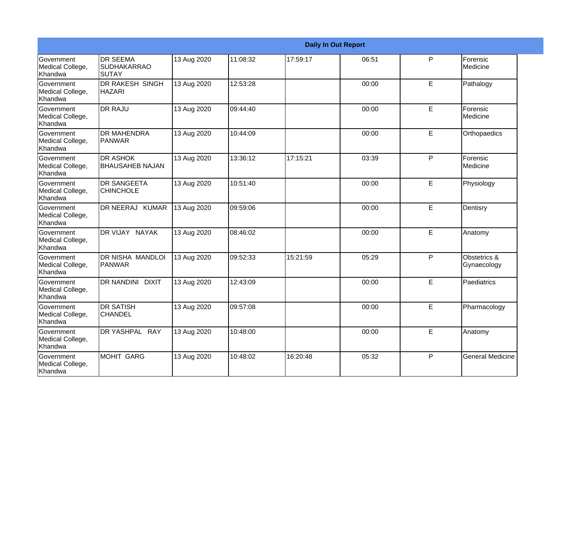|                                                  | <b>Daily In Out Report</b>                     |             |          |          |       |   |                             |  |
|--------------------------------------------------|------------------------------------------------|-------------|----------|----------|-------|---|-----------------------------|--|
| <b>Government</b><br>Medical College,<br>Khandwa | <b>DR SEEMA</b><br><b>SUDHAKARRAO</b><br>SUTAY | 13 Aug 2020 | 11:08:32 | 17:59:17 | 06:51 | P | Forensic<br>Medicine        |  |
| Government<br>Medical College,<br>Khandwa        | DR RAKESH SINGH<br><b>HAZARI</b>               | 13 Aug 2020 | 12:53:28 |          | 00:00 | E | Pathalogy                   |  |
| <b>Government</b><br>Medical College,<br>Khandwa | <b>DR RAJU</b>                                 | 13 Aug 2020 | 09:44:40 |          | 00:00 | E | Forensic<br>Medicine        |  |
| Government<br>Medical College,<br>Khandwa        | <b>DR MAHENDRA</b><br><b>PANWAR</b>            | 13 Aug 2020 | 10:44:09 |          | 00:00 | E | Orthopaedics                |  |
| Government<br>Medical College,<br>Khandwa        | <b>DR ASHOK</b><br><b>BHAUSAHEB NAJAN</b>      | 13 Aug 2020 | 13:36:12 | 17:15:21 | 03:39 | P | Forensic<br>Medicine        |  |
| Government<br>Medical College,<br>Khandwa        | <b>DR SANGEETA</b><br><b>CHINCHOLE</b>         | 13 Aug 2020 | 10:51:40 |          | 00:00 | E | Physiology                  |  |
| <b>Government</b><br>Medical College,<br>Khandwa | DR NEERAJ KUMAR                                | 13 Aug 2020 | 09:59:06 |          | 00:00 | E | Dentisry                    |  |
| Government<br>Medical College,<br>Khandwa        | DR VIJAY NAYAK                                 | 13 Aug 2020 | 08:46:02 |          | 00:00 | E | Anatomy                     |  |
| Government<br>Medical College,<br>Khandwa        | <b>DR NISHA MANDLOI</b><br>PANWAR              | 13 Aug 2020 | 09:52:33 | 15:21:59 | 05:29 | P | Obstetrics &<br>Gynaecology |  |
| Government<br>Medical College,<br>Khandwa        | <b>DR NANDINI DIXIT</b>                        | 13 Aug 2020 | 12:43:09 |          | 00:00 | E | Paediatrics                 |  |
| <b>Government</b><br>Medical College,<br>Khandwa | <b>DR SATISH</b><br><b>CHANDEL</b>             | 13 Aug 2020 | 09:57:08 |          | 00:00 | E | Pharmacology                |  |
| Government<br>Medical College,<br>Khandwa        | DR YASHPAL RAY                                 | 13 Aug 2020 | 10:48:00 |          | 00:00 | E | Anatomy                     |  |
| Government<br>Medical College,<br>Khandwa        | MOHIT GARG                                     | 13 Aug 2020 | 10:48:02 | 16:20:48 | 05:32 | P | <b>General Medicine</b>     |  |